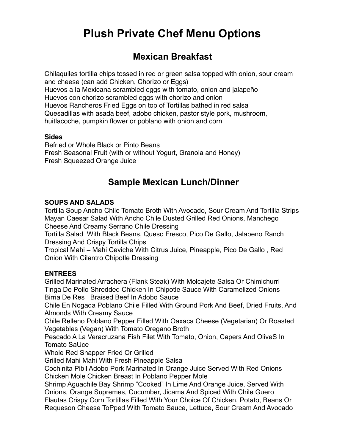# **Plush Private Chef Menu Options**

# **Mexican Breakfast**

Chilaquiles tortilla chips tossed in red or green salsa topped with onion, sour cream and cheese (can add Chicken, Chorizo or Eggs) Huevos a la Mexicana scrambled eggs with tomato, onion and jalapeño Huevos con chorizo scrambled eggs with chorizo and onion Huevos Rancheros Fried Eggs on top of Tortillas bathed in red salsa Quesadillas with asada beef, adobo chicken, pastor style pork, mushroom, huitlacoche, pumpkin flower or poblano with onion and corn

#### **Sides**

Refried or Whole Black or Pinto Beans Fresh Seasonal Fruit (with or without Yogurt, Granola and Honey) Fresh Squeezed Orange Juice

# **Sample Mexican Lunch/Dinner**

#### **SOUPS AND SALADS**

Tortilla Soup Ancho Chile Tomato Broth With Avocado, Sour Cream And Tortilla Strips Mayan Caesar Salad With Ancho Chile Dusted Grilled Red Onions, Manchego Cheese And Creamy Serrano Chile Dressing

Tortilla Salad With Black Beans, Queso Fresco, Pico De Gallo, Jalapeno Ranch Dressing And Crispy Tortilla Chips

Tropical Mahi – Mahi Ceviche With Citrus Juice, Pineapple, Pico De Gallo , Red Onion With Cilantro Chipotle Dressing

#### **ENTREES**

Grilled Marinated Arrachera (Flank Steak) With Molcajete Salsa Or Chimichurri Tinga De Pollo Shredded Chicken In Chipotle Sauce With Caramelized Onions Birria De Res Braised Beef In Adobo Sauce

Chile En Nogada Poblano Chile Filled With Ground Pork And Beef, Dried Fruits, And Almonds With Creamy Sauce

Chile Relleno Poblano Pepper Filled With Oaxaca Cheese (Vegetarian) Or Roasted Vegetables (Vegan) With Tomato Oregano Broth

Pescado A La Veracruzana Fish Filet With Tomato, Onion, Capers And OliveS In Tomato SaUce

Whole Red Snapper Fried Or Grilled

Grilled Mahi Mahi With Fresh Pineapple Salsa

Cochinita Pibil Adobo Pork Marinated In Orange Juice Served With Red Onions Chicken Mole Chicken Breast In Poblano Pepper Mole

Shrimp Aguachile Bay Shrimp "Cooked" In Lime And Orange Juice, Served With Onions, Orange Supremes, Cucumber, Jicama And Spiced With Chile Guero Flautas Crispy Corn Tortillas Filled With Your Choice Of Chicken, Potato, Beans Or Requeson Cheese ToPped With Tomato Sauce, Lettuce, Sour Cream And Avocado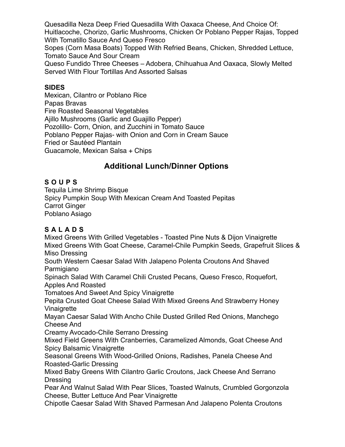Quesadilla Neza Deep Fried Quesadilla With Oaxaca Cheese, And Choice Of: Huitlacoche, Chorizo, Garlic Mushrooms, Chicken Or Poblano Pepper Rajas, Topped With Tomatillo Sauce And Queso Fresco

Sopes (Corn Masa Boats) Topped With Refried Beans, Chicken, Shredded Lettuce, Tomato Sauce And Sour Cream

Queso Fundido Three Cheeses – Adobera, Chihuahua And Oaxaca, Slowly Melted Served With Flour Tortillas And Assorted Salsas

#### **SIDES**

Mexican, Cilantro or Poblano Rice Papas Bravas Fire Roasted Seasonal Vegetables Ajillo Mushrooms (Garlic and Guajillo Pepper) Pozolillo- Corn, Onion, and Zucchini in Tomato Sauce Poblano Pepper Rajas- with Onion and Corn in Cream Sauce Fried or Sautéed Plantain Guacamole, Mexican Salsa + Chips

# **Additional Lunch/Dinner Options**

## **SOUPS**

Tequila Lime Shrimp Bisque Spicy Pumpkin Soup With Mexican Cream And Toasted Pepitas Carrot Ginger Poblano Asiago

# **SALADS**

Mixed Greens With Grilled Vegetables - Toasted Pine Nuts & Dijon Vinaigrette Mixed Greens With Goat Cheese, Caramel-Chile Pumpkin Seeds, Grapefruit Slices & Miso Dressing South Western Caesar Salad With Jalapeno Polenta Croutons And Shaved Parmigiano Spinach Salad With Caramel Chili Crusted Pecans, Queso Fresco, Roquefort, Apples And Roasted Tomatoes And Sweet And Spicy Vinaigrette Pepita Crusted Goat Cheese Salad With Mixed Greens And Strawberry Honey Vinaigrette Mayan Caesar Salad With Ancho Chile Dusted Grilled Red Onions, Manchego Cheese And Creamy Avocado-Chile Serrano Dressing Mixed Field Greens With Cranberries, Caramelized Almonds, Goat Cheese And Spicy Balsamic Vinaigrette Seasonal Greens With Wood-Grilled Onions, Radishes, Panela Cheese And Roasted-Garlic Dressing

Mixed Baby Greens With Cilantro Garlic Croutons, Jack Cheese And Serrano **Dressing** 

Pear And Walnut Salad With Pear Slices, Toasted Walnuts, Crumbled Gorgonzola Cheese, Butter Lettuce And Pear Vinaigrette

Chipotle Caesar Salad With Shaved Parmesan And Jalapeno Polenta Croutons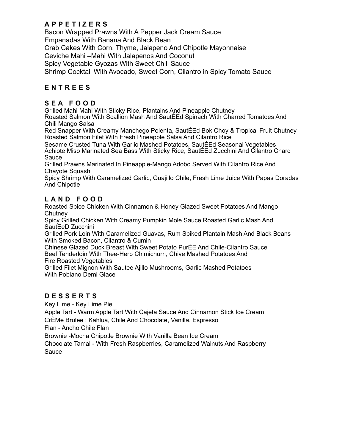## **APPETIZERS**

Bacon Wrapped Prawns With A Pepper Jack Cream Sauce Empanadas With Banana And Black Bean Crab Cakes With Corn, Thyme, Jalapeno And Chipotle Mayonnaise Ceviche Mahi –Mahi With Jalapenos And Coconut Spicy Vegetable Gyozas With Sweet Chili Sauce Shrimp Cocktail With Avocado, Sweet Corn, Cilantro in Spicy Tomato Sauce

### **ENTREES**

#### **SEA FOOD**

Grilled Mahi Mahi With Sticky Rice, Plantains And Pineapple Chutney

Roasted Salmon With Scallion Mash And SautÉEd Spinach With Charred Tomatoes And Chili Mango Salsa

Red Snapper With Creamy Manchego Polenta, SautÉEd Bok Choy & Tropical Fruit Chutney Roasted Salmon Filet With Fresh Pineapple Salsa And Cilantro Rice

Sesame Crusted Tuna With Garlic Mashed Potatoes, SautÉEd Seasonal Vegetables Achiote Miso Marinated Sea Bass With Sticky Rice, SautÉEd Zucchini And Cilantro Chard Sauce

Grilled Prawns Marinated In Pineapple-Mango Adobo Served With Cilantro Rice And Chayote Squash

Spicy Shrimp With Caramelized Garlic, Guajillo Chile, Fresh Lime Juice With Papas Doradas And Chipotle

### **LAND FOOD**

Roasted Spice Chicken With Cinnamon & Honey Glazed Sweet Potatoes And Mango **Chutney** 

Spicy Grilled Chicken With Creamy Pumpkin Mole Sauce Roasted Garlic Mash And SautEeD Zucchini

Grilled Pork Loin With Caramelized Guavas, Rum Spiked Plantain Mash And Black Beans With Smoked Bacon, Cilantro & Cumin

Chinese Glazed Duck Breast With Sweet Potato PurÉE And Chile-Cilantro Sauce Beef Tenderloin With Thee-Herb Chimichurri, Chive Mashed Potatoes And Fire Roasted Vegetables

Grilled Filet Mignon With Sautee Ajillo Mushrooms, Garlic Mashed Potatoes With Poblano Demi Glace

### **DESSERTS**

Key Lime - Key Lime Pie

Apple Tart - Warm Apple Tart With Cajeta Sauce And Cinnamon Stick Ice Cream CrÈMe Brulee : Kahlua, Chile And Chocolate, Vanilla, Espresso

Flan - Ancho Chile Flan

Brownie -Mocha Chipotle Brownie With Vanilla Bean Ice Cream

Chocolate Tamal - With Fresh Raspberries, Caramelized Walnuts And Raspberry Sauce